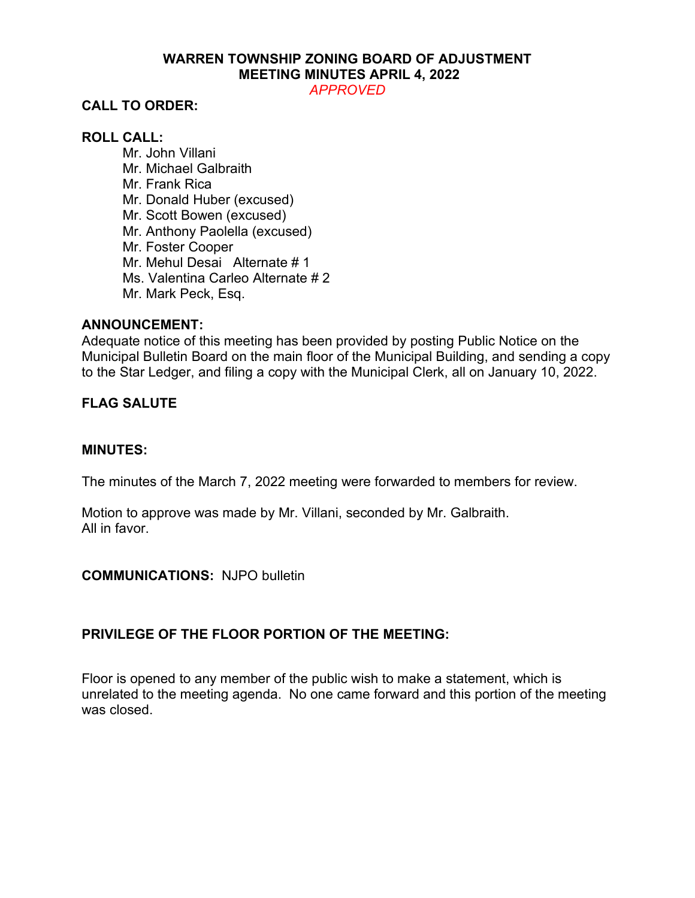# **WARREN TOWNSHIP ZONING BOARD OF ADJUSTMENT MEETING MINUTES APRIL 4, 2022**

*APPROVED*

# **CALL TO ORDER:**

# **ROLL CALL:**

Mr. John Villani Mr. Michael Galbraith Mr. Frank Rica Mr. Donald Huber (excused) Mr. Scott Bowen (excused) Mr. Anthony Paolella (excused) Mr. Foster Cooper Mr. Mehul Desai Alternate # 1 Ms. Valentina Carleo Alternate # 2 Mr. Mark Peck, Esq.

## **ANNOUNCEMENT:**

Adequate notice of this meeting has been provided by posting Public Notice on the Municipal Bulletin Board on the main floor of the Municipal Building, and sending a copy to the Star Ledger, and filing a copy with the Municipal Clerk, all on January 10, 2022.

# **FLAG SALUTE**

#### **MINUTES:**

The minutes of the March 7, 2022 meeting were forwarded to members for review.

Motion to approve was made by Mr. Villani, seconded by Mr. Galbraith. All in favor.

#### **COMMUNICATIONS:** NJPO bulletin

# **PRIVILEGE OF THE FLOOR PORTION OF THE MEETING:**

Floor is opened to any member of the public wish to make a statement, which is unrelated to the meeting agenda. No one came forward and this portion of the meeting was closed.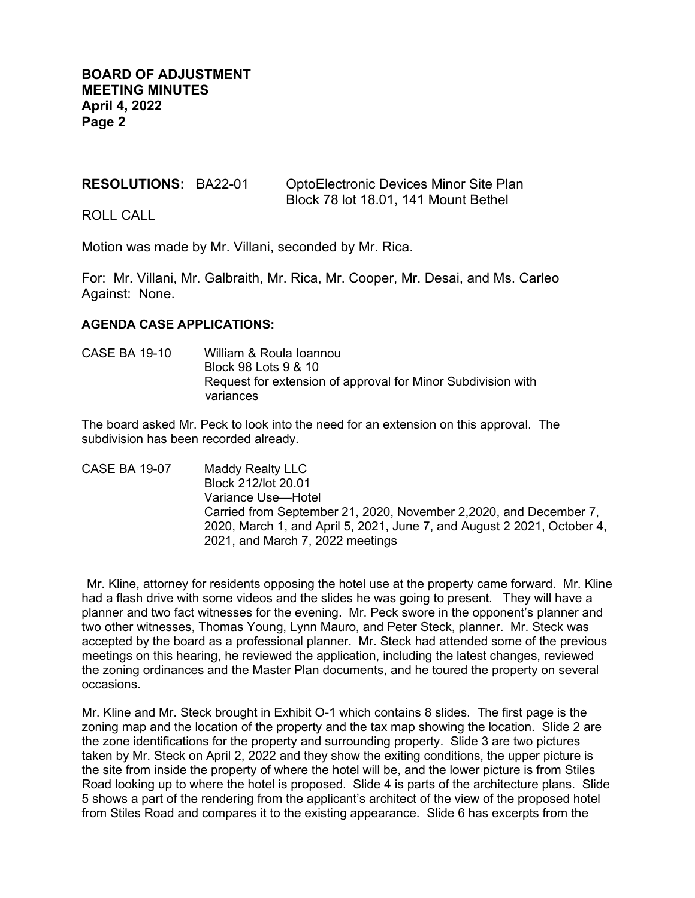#### **RESOLUTIONS:** BA22-01 OptoElectronic Devices Minor Site Plan Block 78 lot 18.01, 141 Mount Bethel

ROLL CALL

Motion was made by Mr. Villani, seconded by Mr. Rica.

For: Mr. Villani, Mr. Galbraith, Mr. Rica, Mr. Cooper, Mr. Desai, and Ms. Carleo Against: None.

#### **AGENDA CASE APPLICATIONS:**

CASE BA 19-10 William & Roula Ioannou Block 98 Lots 9 & 10 Request for extension of approval for Minor Subdivision with variances

The board asked Mr. Peck to look into the need for an extension on this approval. The subdivision has been recorded already.

CASE BA 19-07 Maddy Realty LLC Block 212/lot 20.01 Variance Use—Hotel Carried from September 21, 2020, November 2,2020, and December 7, 2020, March 1, and April 5, 2021, June 7, and August 2 2021, October 4, 2021, and March 7, 2022 meetings

Mr. Kline, attorney for residents opposing the hotel use at the property came forward. Mr. Kline had a flash drive with some videos and the slides he was going to present. They will have a planner and two fact witnesses for the evening. Mr. Peck swore in the opponent's planner and two other witnesses, Thomas Young, Lynn Mauro, and Peter Steck, planner. Mr. Steck was accepted by the board as a professional planner. Mr. Steck had attended some of the previous meetings on this hearing, he reviewed the application, including the latest changes, reviewed the zoning ordinances and the Master Plan documents, and he toured the property on several occasions.

Mr. Kline and Mr. Steck brought in Exhibit O-1 which contains 8 slides. The first page is the zoning map and the location of the property and the tax map showing the location. Slide 2 are the zone identifications for the property and surrounding property. Slide 3 are two pictures taken by Mr. Steck on April 2, 2022 and they show the exiting conditions, the upper picture is the site from inside the property of where the hotel will be, and the lower picture is from Stiles Road looking up to where the hotel is proposed. Slide 4 is parts of the architecture plans. Slide 5 shows a part of the rendering from the applicant's architect of the view of the proposed hotel from Stiles Road and compares it to the existing appearance. Slide 6 has excerpts from the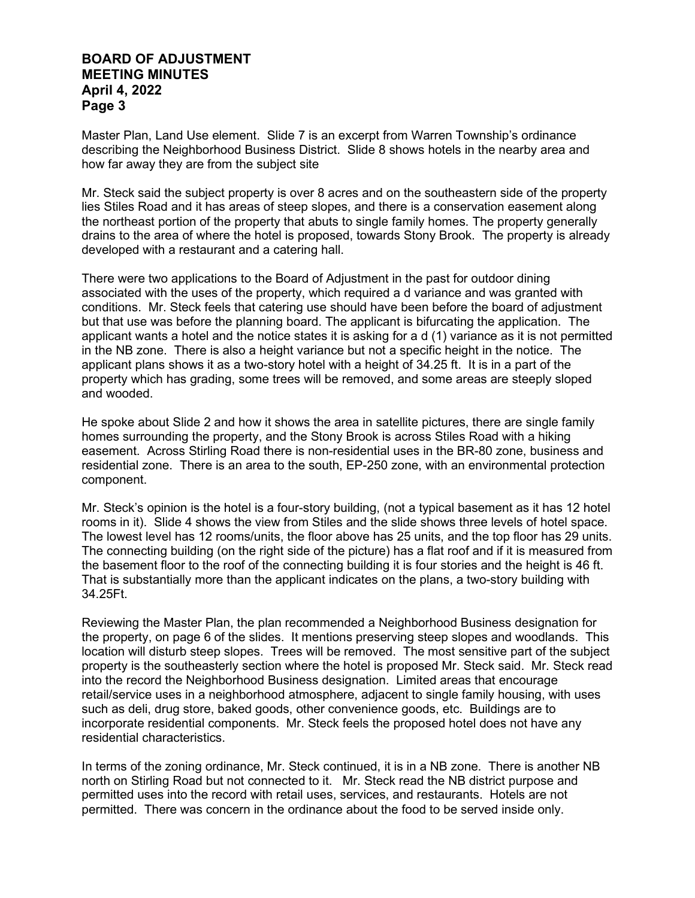Master Plan, Land Use element. Slide 7 is an excerpt from Warren Township's ordinance describing the Neighborhood Business District. Slide 8 shows hotels in the nearby area and how far away they are from the subject site

Mr. Steck said the subject property is over 8 acres and on the southeastern side of the property lies Stiles Road and it has areas of steep slopes, and there is a conservation easement along the northeast portion of the property that abuts to single family homes. The property generally drains to the area of where the hotel is proposed, towards Stony Brook. The property is already developed with a restaurant and a catering hall.

There were two applications to the Board of Adjustment in the past for outdoor dining associated with the uses of the property, which required a d variance and was granted with conditions. Mr. Steck feels that catering use should have been before the board of adjustment but that use was before the planning board. The applicant is bifurcating the application. The applicant wants a hotel and the notice states it is asking for a d (1) variance as it is not permitted in the NB zone. There is also a height variance but not a specific height in the notice. The applicant plans shows it as a two-story hotel with a height of 34.25 ft. It is in a part of the property which has grading, some trees will be removed, and some areas are steeply sloped and wooded.

He spoke about Slide 2 and how it shows the area in satellite pictures, there are single family homes surrounding the property, and the Stony Brook is across Stiles Road with a hiking easement. Across Stirling Road there is non-residential uses in the BR-80 zone, business and residential zone. There is an area to the south, EP-250 zone, with an environmental protection component.

Mr. Steck's opinion is the hotel is a four-story building, (not a typical basement as it has 12 hotel rooms in it). Slide 4 shows the view from Stiles and the slide shows three levels of hotel space. The lowest level has 12 rooms/units, the floor above has 25 units, and the top floor has 29 units. The connecting building (on the right side of the picture) has a flat roof and if it is measured from the basement floor to the roof of the connecting building it is four stories and the height is 46 ft. That is substantially more than the applicant indicates on the plans, a two-story building with 34.25Ft.

Reviewing the Master Plan, the plan recommended a Neighborhood Business designation for the property, on page 6 of the slides. It mentions preserving steep slopes and woodlands. This location will disturb steep slopes. Trees will be removed. The most sensitive part of the subject property is the southeasterly section where the hotel is proposed Mr. Steck said. Mr. Steck read into the record the Neighborhood Business designation. Limited areas that encourage retail/service uses in a neighborhood atmosphere, adjacent to single family housing, with uses such as deli, drug store, baked goods, other convenience goods, etc. Buildings are to incorporate residential components. Mr. Steck feels the proposed hotel does not have any residential characteristics.

In terms of the zoning ordinance, Mr. Steck continued, it is in a NB zone. There is another NB north on Stirling Road but not connected to it. Mr. Steck read the NB district purpose and permitted uses into the record with retail uses, services, and restaurants. Hotels are not permitted. There was concern in the ordinance about the food to be served inside only.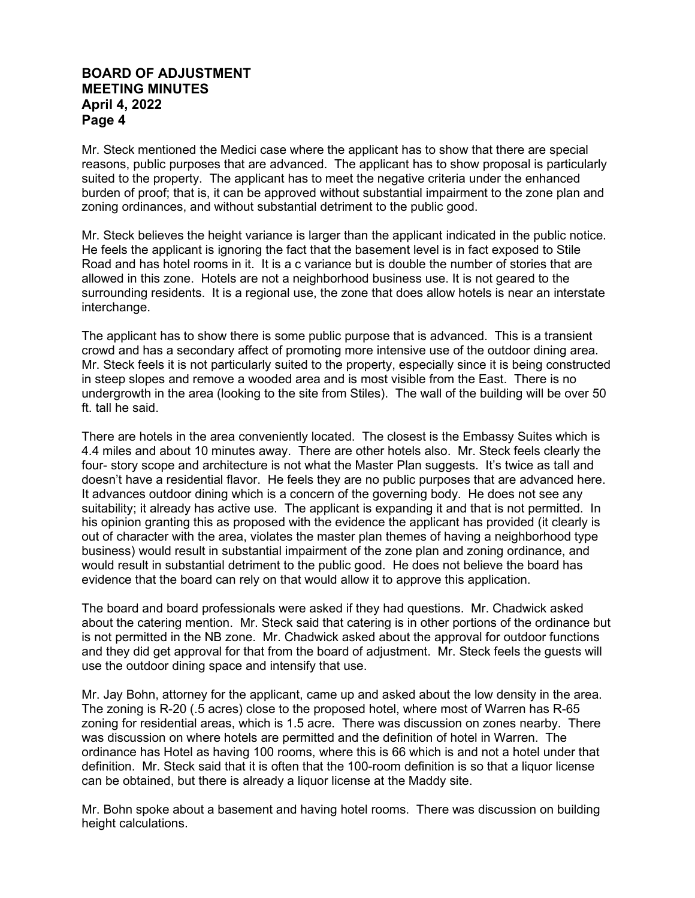Mr. Steck mentioned the Medici case where the applicant has to show that there are special reasons, public purposes that are advanced. The applicant has to show proposal is particularly suited to the property. The applicant has to meet the negative criteria under the enhanced burden of proof; that is, it can be approved without substantial impairment to the zone plan and zoning ordinances, and without substantial detriment to the public good.

Mr. Steck believes the height variance is larger than the applicant indicated in the public notice. He feels the applicant is ignoring the fact that the basement level is in fact exposed to Stile Road and has hotel rooms in it. It is a c variance but is double the number of stories that are allowed in this zone. Hotels are not a neighborhood business use. It is not geared to the surrounding residents. It is a regional use, the zone that does allow hotels is near an interstate interchange.

The applicant has to show there is some public purpose that is advanced. This is a transient crowd and has a secondary affect of promoting more intensive use of the outdoor dining area. Mr. Steck feels it is not particularly suited to the property, especially since it is being constructed in steep slopes and remove a wooded area and is most visible from the East. There is no undergrowth in the area (looking to the site from Stiles). The wall of the building will be over 50 ft. tall he said.

There are hotels in the area conveniently located. The closest is the Embassy Suites which is 4.4 miles and about 10 minutes away. There are other hotels also. Mr. Steck feels clearly the four- story scope and architecture is not what the Master Plan suggests. It's twice as tall and doesn't have a residential flavor. He feels they are no public purposes that are advanced here. It advances outdoor dining which is a concern of the governing body. He does not see any suitability; it already has active use. The applicant is expanding it and that is not permitted. In his opinion granting this as proposed with the evidence the applicant has provided (it clearly is out of character with the area, violates the master plan themes of having a neighborhood type business) would result in substantial impairment of the zone plan and zoning ordinance, and would result in substantial detriment to the public good. He does not believe the board has evidence that the board can rely on that would allow it to approve this application.

The board and board professionals were asked if they had questions. Mr. Chadwick asked about the catering mention. Mr. Steck said that catering is in other portions of the ordinance but is not permitted in the NB zone. Mr. Chadwick asked about the approval for outdoor functions and they did get approval for that from the board of adjustment. Mr. Steck feels the guests will use the outdoor dining space and intensify that use.

Mr. Jay Bohn, attorney for the applicant, came up and asked about the low density in the area. The zoning is R-20 (.5 acres) close to the proposed hotel, where most of Warren has R-65 zoning for residential areas, which is 1.5 acre. There was discussion on zones nearby. There was discussion on where hotels are permitted and the definition of hotel in Warren. The ordinance has Hotel as having 100 rooms, where this is 66 which is and not a hotel under that definition. Mr. Steck said that it is often that the 100-room definition is so that a liquor license can be obtained, but there is already a liquor license at the Maddy site.

Mr. Bohn spoke about a basement and having hotel rooms. There was discussion on building height calculations.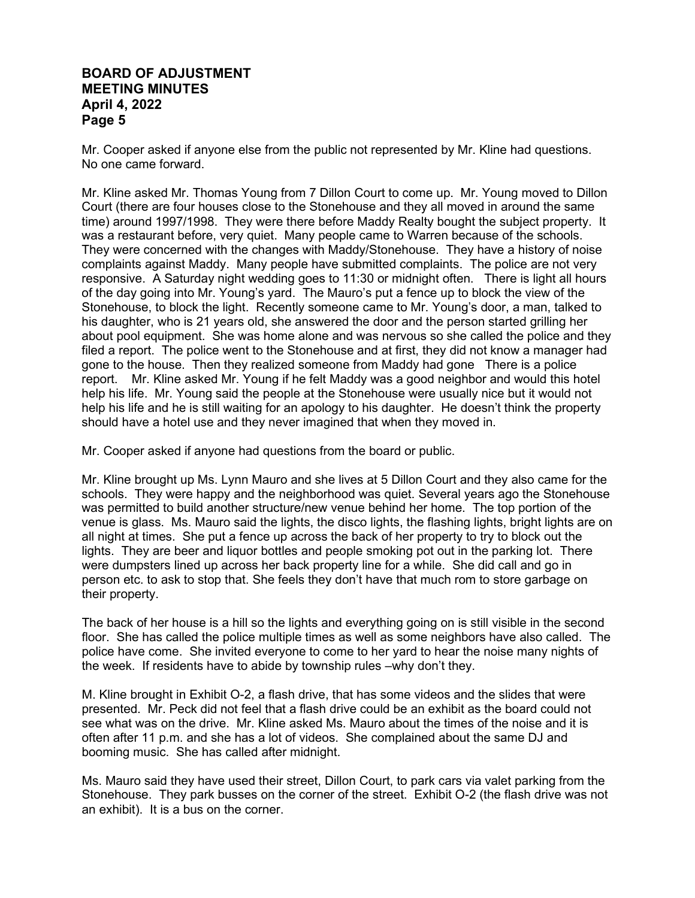Mr. Cooper asked if anyone else from the public not represented by Mr. Kline had questions. No one came forward.

Mr. Kline asked Mr. Thomas Young from 7 Dillon Court to come up. Mr. Young moved to Dillon Court (there are four houses close to the Stonehouse and they all moved in around the same time) around 1997/1998. They were there before Maddy Realty bought the subject property. It was a restaurant before, very quiet. Many people came to Warren because of the schools. They were concerned with the changes with Maddy/Stonehouse. They have a history of noise complaints against Maddy. Many people have submitted complaints. The police are not very responsive. A Saturday night wedding goes to 11:30 or midnight often. There is light all hours of the day going into Mr. Young's yard. The Mauro's put a fence up to block the view of the Stonehouse, to block the light. Recently someone came to Mr. Young's door, a man, talked to his daughter, who is 21 years old, she answered the door and the person started grilling her about pool equipment. She was home alone and was nervous so she called the police and they filed a report. The police went to the Stonehouse and at first, they did not know a manager had gone to the house. Then they realized someone from Maddy had gone There is a police report. Mr. Kline asked Mr. Young if he felt Maddy was a good neighbor and would this hotel help his life. Mr. Young said the people at the Stonehouse were usually nice but it would not help his life and he is still waiting for an apology to his daughter. He doesn't think the property should have a hotel use and they never imagined that when they moved in.

Mr. Cooper asked if anyone had questions from the board or public.

Mr. Kline brought up Ms. Lynn Mauro and she lives at 5 Dillon Court and they also came for the schools. They were happy and the neighborhood was quiet. Several years ago the Stonehouse was permitted to build another structure/new venue behind her home. The top portion of the venue is glass. Ms. Mauro said the lights, the disco lights, the flashing lights, bright lights are on all night at times. She put a fence up across the back of her property to try to block out the lights. They are beer and liquor bottles and people smoking pot out in the parking lot. There were dumpsters lined up across her back property line for a while. She did call and go in person etc. to ask to stop that. She feels they don't have that much rom to store garbage on their property.

The back of her house is a hill so the lights and everything going on is still visible in the second floor. She has called the police multiple times as well as some neighbors have also called. The police have come. She invited everyone to come to her yard to hear the noise many nights of the week. If residents have to abide by township rules –why don't they.

M. Kline brought in Exhibit O-2, a flash drive, that has some videos and the slides that were presented. Mr. Peck did not feel that a flash drive could be an exhibit as the board could not see what was on the drive. Mr. Kline asked Ms. Mauro about the times of the noise and it is often after 11 p.m. and she has a lot of videos. She complained about the same DJ and booming music. She has called after midnight.

Ms. Mauro said they have used their street, Dillon Court, to park cars via valet parking from the Stonehouse. They park busses on the corner of the street. Exhibit O-2 (the flash drive was not an exhibit). It is a bus on the corner.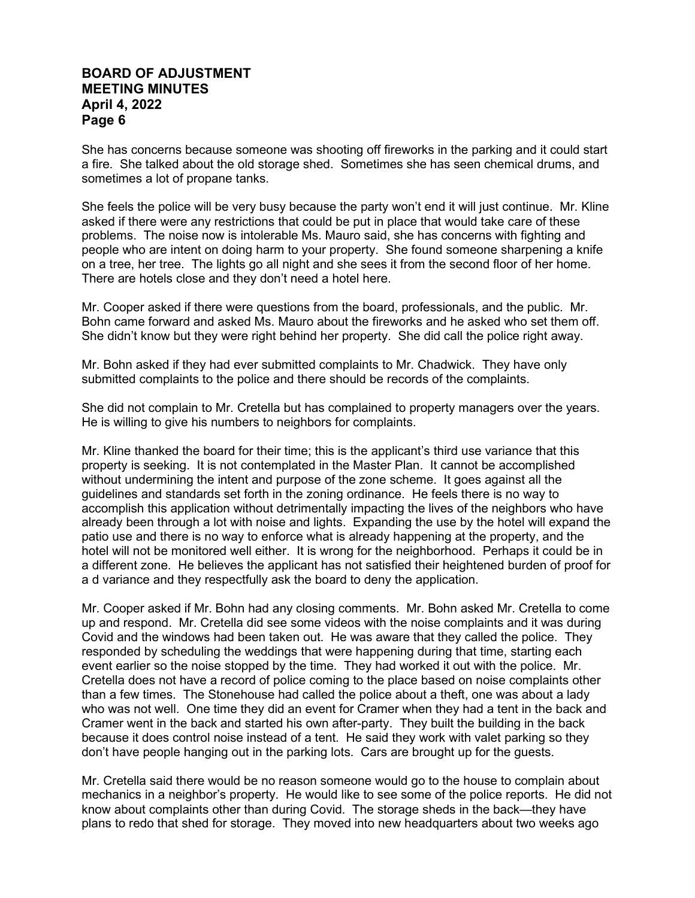She has concerns because someone was shooting off fireworks in the parking and it could start a fire. She talked about the old storage shed. Sometimes she has seen chemical drums, and sometimes a lot of propane tanks.

She feels the police will be very busy because the party won't end it will just continue. Mr. Kline asked if there were any restrictions that could be put in place that would take care of these problems. The noise now is intolerable Ms. Mauro said, she has concerns with fighting and people who are intent on doing harm to your property. She found someone sharpening a knife on a tree, her tree. The lights go all night and she sees it from the second floor of her home. There are hotels close and they don't need a hotel here.

Mr. Cooper asked if there were questions from the board, professionals, and the public. Mr. Bohn came forward and asked Ms. Mauro about the fireworks and he asked who set them off. She didn't know but they were right behind her property. She did call the police right away.

Mr. Bohn asked if they had ever submitted complaints to Mr. Chadwick. They have only submitted complaints to the police and there should be records of the complaints.

She did not complain to Mr. Cretella but has complained to property managers over the years. He is willing to give his numbers to neighbors for complaints.

Mr. Kline thanked the board for their time; this is the applicant's third use variance that this property is seeking. It is not contemplated in the Master Plan. It cannot be accomplished without undermining the intent and purpose of the zone scheme. It goes against all the guidelines and standards set forth in the zoning ordinance. He feels there is no way to accomplish this application without detrimentally impacting the lives of the neighbors who have already been through a lot with noise and lights. Expanding the use by the hotel will expand the patio use and there is no way to enforce what is already happening at the property, and the hotel will not be monitored well either. It is wrong for the neighborhood. Perhaps it could be in a different zone. He believes the applicant has not satisfied their heightened burden of proof for a d variance and they respectfully ask the board to deny the application.

Mr. Cooper asked if Mr. Bohn had any closing comments. Mr. Bohn asked Mr. Cretella to come up and respond. Mr. Cretella did see some videos with the noise complaints and it was during Covid and the windows had been taken out. He was aware that they called the police. They responded by scheduling the weddings that were happening during that time, starting each event earlier so the noise stopped by the time. They had worked it out with the police. Mr. Cretella does not have a record of police coming to the place based on noise complaints other than a few times. The Stonehouse had called the police about a theft, one was about a lady who was not well. One time they did an event for Cramer when they had a tent in the back and Cramer went in the back and started his own after-party. They built the building in the back because it does control noise instead of a tent. He said they work with valet parking so they don't have people hanging out in the parking lots. Cars are brought up for the guests.

Mr. Cretella said there would be no reason someone would go to the house to complain about mechanics in a neighbor's property. He would like to see some of the police reports. He did not know about complaints other than during Covid. The storage sheds in the back—they have plans to redo that shed for storage. They moved into new headquarters about two weeks ago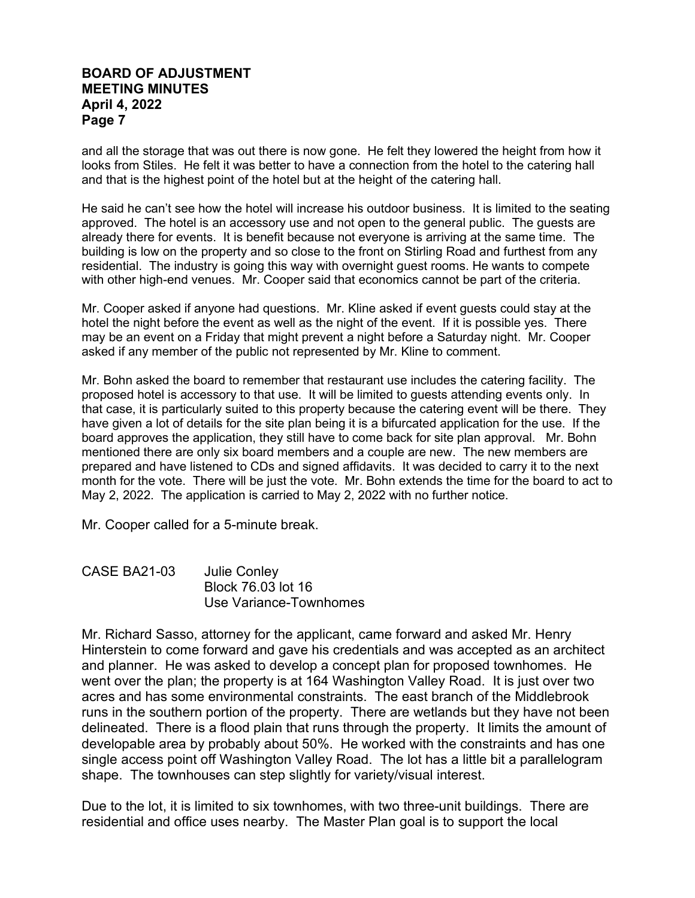and all the storage that was out there is now gone. He felt they lowered the height from how it looks from Stiles. He felt it was better to have a connection from the hotel to the catering hall and that is the highest point of the hotel but at the height of the catering hall.

He said he can't see how the hotel will increase his outdoor business. It is limited to the seating approved. The hotel is an accessory use and not open to the general public. The guests are already there for events. It is benefit because not everyone is arriving at the same time. The building is low on the property and so close to the front on Stirling Road and furthest from any residential. The industry is going this way with overnight guest rooms. He wants to compete with other high-end venues. Mr. Cooper said that economics cannot be part of the criteria.

Mr. Cooper asked if anyone had questions. Mr. Kline asked if event guests could stay at the hotel the night before the event as well as the night of the event. If it is possible yes. There may be an event on a Friday that might prevent a night before a Saturday night. Mr. Cooper asked if any member of the public not represented by Mr. Kline to comment.

Mr. Bohn asked the board to remember that restaurant use includes the catering facility. The proposed hotel is accessory to that use. It will be limited to guests attending events only. In that case, it is particularly suited to this property because the catering event will be there. They have given a lot of details for the site plan being it is a bifurcated application for the use. If the board approves the application, they still have to come back for site plan approval. Mr. Bohn mentioned there are only six board members and a couple are new. The new members are prepared and have listened to CDs and signed affidavits. It was decided to carry it to the next month for the vote. There will be just the vote. Mr. Bohn extends the time for the board to act to May 2, 2022. The application is carried to May 2, 2022 with no further notice.

Mr. Cooper called for a 5-minute break.

CASE BA21-03 Julie Conley Block 76.03 lot 16 Use Variance-Townhomes

Mr. Richard Sasso, attorney for the applicant, came forward and asked Mr. Henry Hinterstein to come forward and gave his credentials and was accepted as an architect and planner. He was asked to develop a concept plan for proposed townhomes. He went over the plan; the property is at 164 Washington Valley Road. It is just over two acres and has some environmental constraints. The east branch of the Middlebrook runs in the southern portion of the property. There are wetlands but they have not been delineated. There is a flood plain that runs through the property. It limits the amount of developable area by probably about 50%. He worked with the constraints and has one single access point off Washington Valley Road. The lot has a little bit a parallelogram shape. The townhouses can step slightly for variety/visual interest.

Due to the lot, it is limited to six townhomes, with two three-unit buildings. There are residential and office uses nearby. The Master Plan goal is to support the local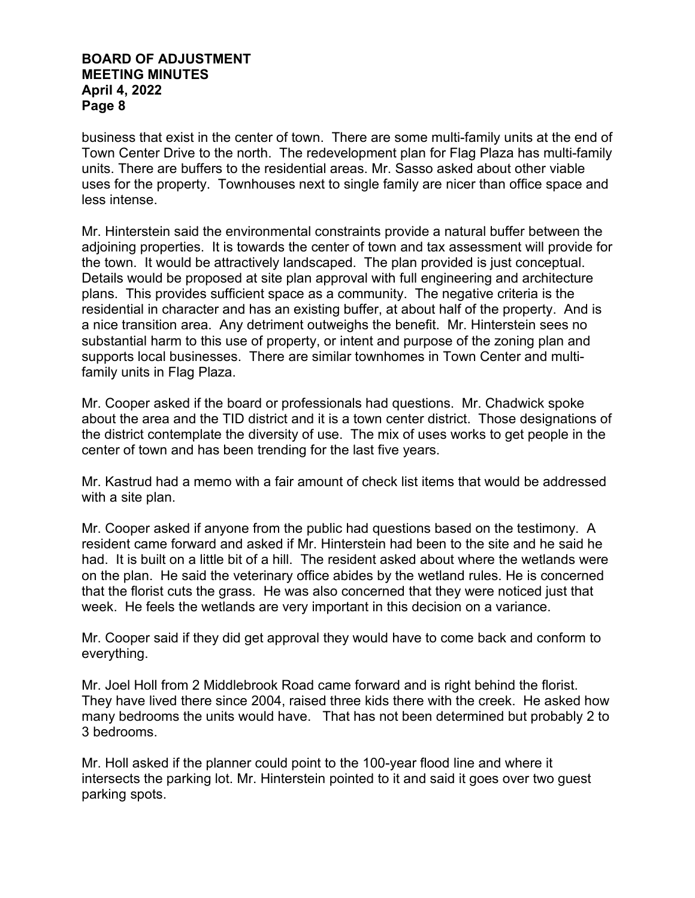business that exist in the center of town. There are some multi-family units at the end of Town Center Drive to the north. The redevelopment plan for Flag Plaza has multi-family units. There are buffers to the residential areas. Mr. Sasso asked about other viable uses for the property. Townhouses next to single family are nicer than office space and less intense.

Mr. Hinterstein said the environmental constraints provide a natural buffer between the adjoining properties. It is towards the center of town and tax assessment will provide for the town. It would be attractively landscaped. The plan provided is just conceptual. Details would be proposed at site plan approval with full engineering and architecture plans. This provides sufficient space as a community. The negative criteria is the residential in character and has an existing buffer, at about half of the property. And is a nice transition area. Any detriment outweighs the benefit. Mr. Hinterstein sees no substantial harm to this use of property, or intent and purpose of the zoning plan and supports local businesses. There are similar townhomes in Town Center and multifamily units in Flag Plaza.

Mr. Cooper asked if the board or professionals had questions. Mr. Chadwick spoke about the area and the TID district and it is a town center district. Those designations of the district contemplate the diversity of use. The mix of uses works to get people in the center of town and has been trending for the last five years.

Mr. Kastrud had a memo with a fair amount of check list items that would be addressed with a site plan.

Mr. Cooper asked if anyone from the public had questions based on the testimony. A resident came forward and asked if Mr. Hinterstein had been to the site and he said he had. It is built on a little bit of a hill. The resident asked about where the wetlands were on the plan. He said the veterinary office abides by the wetland rules. He is concerned that the florist cuts the grass. He was also concerned that they were noticed just that week. He feels the wetlands are very important in this decision on a variance.

Mr. Cooper said if they did get approval they would have to come back and conform to everything.

Mr. Joel Holl from 2 Middlebrook Road came forward and is right behind the florist. They have lived there since 2004, raised three kids there with the creek. He asked how many bedrooms the units would have. That has not been determined but probably 2 to 3 bedrooms.

Mr. Holl asked if the planner could point to the 100-year flood line and where it intersects the parking lot. Mr. Hinterstein pointed to it and said it goes over two guest parking spots.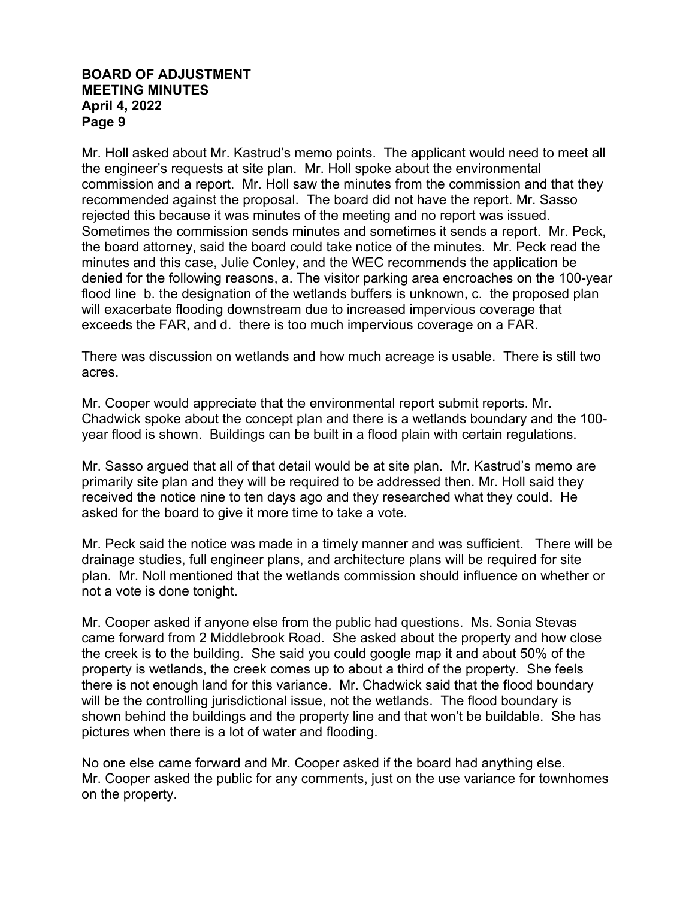Mr. Holl asked about Mr. Kastrud's memo points. The applicant would need to meet all the engineer's requests at site plan. Mr. Holl spoke about the environmental commission and a report. Mr. Holl saw the minutes from the commission and that they recommended against the proposal. The board did not have the report. Mr. Sasso rejected this because it was minutes of the meeting and no report was issued. Sometimes the commission sends minutes and sometimes it sends a report. Mr. Peck, the board attorney, said the board could take notice of the minutes. Mr. Peck read the minutes and this case, Julie Conley, and the WEC recommends the application be denied for the following reasons, a. The visitor parking area encroaches on the 100-year flood line b. the designation of the wetlands buffers is unknown, c. the proposed plan will exacerbate flooding downstream due to increased impervious coverage that exceeds the FAR, and d. there is too much impervious coverage on a FAR.

There was discussion on wetlands and how much acreage is usable. There is still two acres.

Mr. Cooper would appreciate that the environmental report submit reports. Mr. Chadwick spoke about the concept plan and there is a wetlands boundary and the 100 year flood is shown. Buildings can be built in a flood plain with certain regulations.

Mr. Sasso argued that all of that detail would be at site plan. Mr. Kastrud's memo are primarily site plan and they will be required to be addressed then. Mr. Holl said they received the notice nine to ten days ago and they researched what they could. He asked for the board to give it more time to take a vote.

Mr. Peck said the notice was made in a timely manner and was sufficient. There will be drainage studies, full engineer plans, and architecture plans will be required for site plan. Mr. Noll mentioned that the wetlands commission should influence on whether or not a vote is done tonight.

Mr. Cooper asked if anyone else from the public had questions. Ms. Sonia Stevas came forward from 2 Middlebrook Road. She asked about the property and how close the creek is to the building. She said you could google map it and about 50% of the property is wetlands, the creek comes up to about a third of the property. She feels there is not enough land for this variance. Mr. Chadwick said that the flood boundary will be the controlling jurisdictional issue, not the wetlands. The flood boundary is shown behind the buildings and the property line and that won't be buildable. She has pictures when there is a lot of water and flooding.

No one else came forward and Mr. Cooper asked if the board had anything else. Mr. Cooper asked the public for any comments, just on the use variance for townhomes on the property.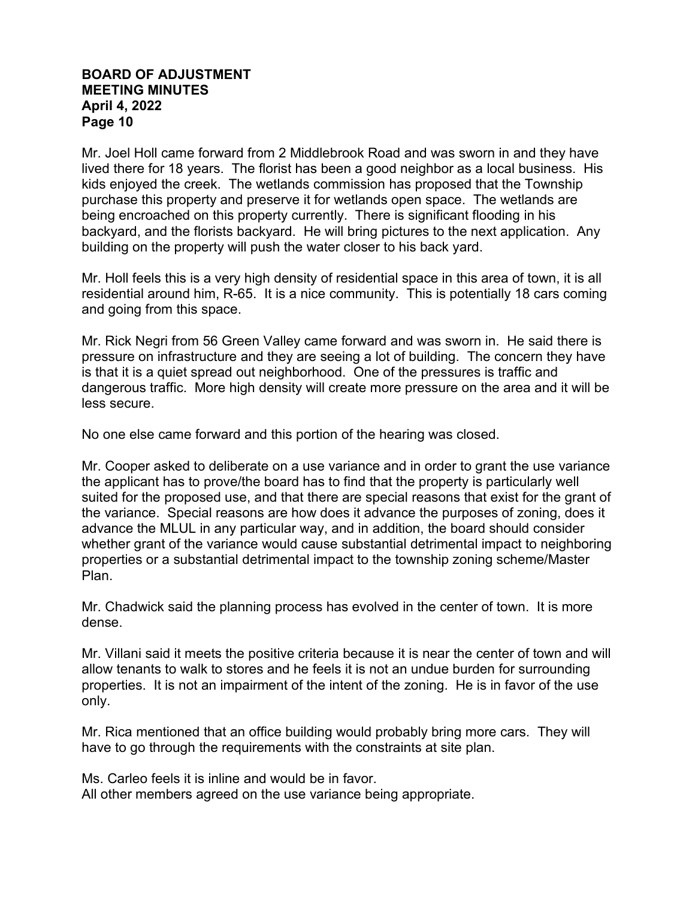Mr. Joel Holl came forward from 2 Middlebrook Road and was sworn in and they have lived there for 18 years. The florist has been a good neighbor as a local business. His kids enjoyed the creek. The wetlands commission has proposed that the Township purchase this property and preserve it for wetlands open space. The wetlands are being encroached on this property currently. There is significant flooding in his backyard, and the florists backyard. He will bring pictures to the next application. Any building on the property will push the water closer to his back yard.

Mr. Holl feels this is a very high density of residential space in this area of town, it is all residential around him, R-65. It is a nice community. This is potentially 18 cars coming and going from this space.

Mr. Rick Negri from 56 Green Valley came forward and was sworn in. He said there is pressure on infrastructure and they are seeing a lot of building. The concern they have is that it is a quiet spread out neighborhood. One of the pressures is traffic and dangerous traffic. More high density will create more pressure on the area and it will be less secure.

No one else came forward and this portion of the hearing was closed.

Mr. Cooper asked to deliberate on a use variance and in order to grant the use variance the applicant has to prove/the board has to find that the property is particularly well suited for the proposed use, and that there are special reasons that exist for the grant of the variance. Special reasons are how does it advance the purposes of zoning, does it advance the MLUL in any particular way, and in addition, the board should consider whether grant of the variance would cause substantial detrimental impact to neighboring properties or a substantial detrimental impact to the township zoning scheme/Master Plan.

Mr. Chadwick said the planning process has evolved in the center of town. It is more dense.

Mr. Villani said it meets the positive criteria because it is near the center of town and will allow tenants to walk to stores and he feels it is not an undue burden for surrounding properties. It is not an impairment of the intent of the zoning. He is in favor of the use only.

Mr. Rica mentioned that an office building would probably bring more cars. They will have to go through the requirements with the constraints at site plan.

Ms. Carleo feels it is inline and would be in favor.

All other members agreed on the use variance being appropriate.